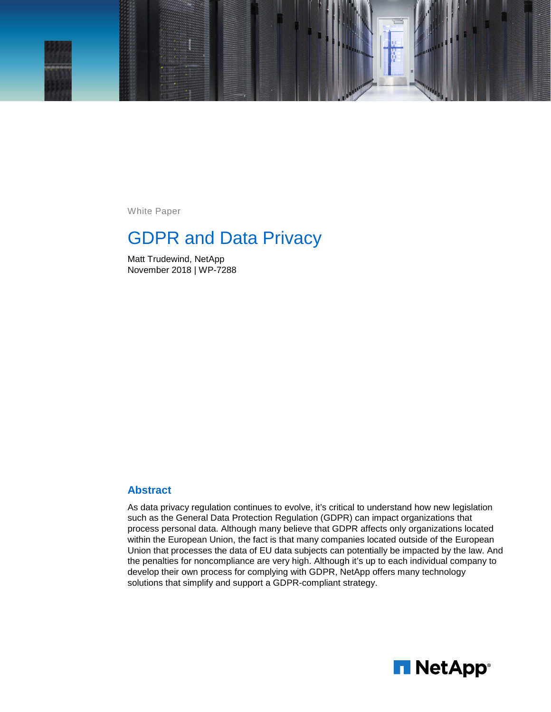

White Paper

# GDPR and Data Privacy

Matt Trudewind, NetApp November 2018 | WP-7288

#### **Abstract**

As data privacy regulation continues to evolve, it's critical to understand how new legislation such as the General Data Protection Regulation (GDPR) can impact organizations that process personal data. Although many believe that GDPR affects only organizations located within the European Union, the fact is that many companies located outside of the European Union that processes the data of EU data subjects can potentially be impacted by the law. And the penalties for noncompliance are very high. Although it's up to each individual company to develop their own process for complying with GDPR, NetApp offers many technology solutions that simplify and support a GDPR-compliant strategy.

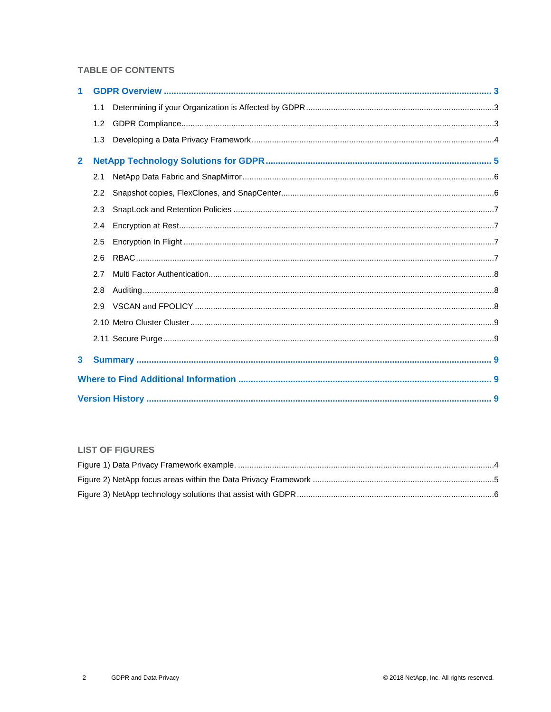#### **TABLE OF CONTENTS**

| 1            |     |  |  |  |  |  |  |
|--------------|-----|--|--|--|--|--|--|
|              | 1.1 |  |  |  |  |  |  |
|              | 1.2 |  |  |  |  |  |  |
|              | 1.3 |  |  |  |  |  |  |
| $\mathbf{2}$ |     |  |  |  |  |  |  |
|              | 2.1 |  |  |  |  |  |  |
|              | 2.2 |  |  |  |  |  |  |
|              | 2.3 |  |  |  |  |  |  |
|              | 2.4 |  |  |  |  |  |  |
|              | 2.5 |  |  |  |  |  |  |
|              | 2.6 |  |  |  |  |  |  |
|              | 2.7 |  |  |  |  |  |  |
|              | 2.8 |  |  |  |  |  |  |
|              | 2.9 |  |  |  |  |  |  |
|              |     |  |  |  |  |  |  |
|              |     |  |  |  |  |  |  |
| 3            |     |  |  |  |  |  |  |
|              |     |  |  |  |  |  |  |
|              |     |  |  |  |  |  |  |

#### **LIST OF FIGURES**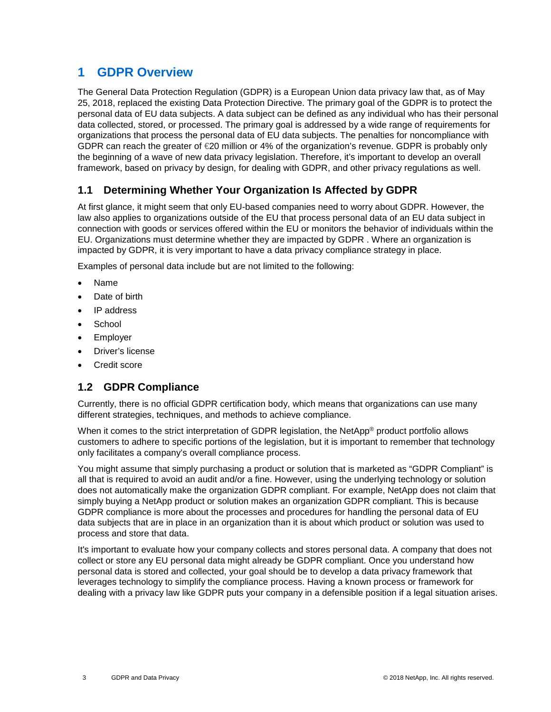## <span id="page-2-0"></span>**1 GDPR Overview**

The General Data Protection Regulation (GDPR) is a European Union data privacy law that, as of May 25, 2018, replaced the existing Data Protection Directive. The primary goal of the GDPR is to protect the personal data of EU data subjects. A data subject can be defined as any individual who has their personal data collected, stored, or processed. The primary goal is addressed by a wide range of requirements for organizations that process the personal data of EU data subjects. The penalties for noncompliance with GDPR can reach the greater of  $\epsilon$ 20 million or 4% of the organization's revenue. GDPR is probably only the beginning of a wave of new data privacy legislation. Therefore, it's important to develop an overall framework, based on privacy by design, for dealing with GDPR, and other privacy regulations as well.

### <span id="page-2-1"></span>**1.1 Determining Whether Your Organization Is Affected by GDPR**

At first glance, it might seem that only EU-based companies need to worry about GDPR. However, the law also applies to organizations outside of the EU that process personal data of an EU data subject in connection with goods or services offered within the EU or monitors the behavior of individuals within the EU. Organizations must determine whether they are impacted by GDPR . Where an organization is impacted by GDPR, it is very important to have a data privacy compliance strategy in place.

Examples of personal data include but are not limited to the following:

- Name
- Date of birth
- IP address
- **School**
- **Employer**
- Driver's license
- Credit score

#### <span id="page-2-2"></span>**1.2 GDPR Compliance**

Currently, there is no official GDPR certification body, which means that organizations can use many different strategies, techniques, and methods to achieve compliance.

When it comes to the strict interpretation of GDPR legislation, the NetApp<sup>®</sup> product portfolio allows customers to adhere to specific portions of the legislation, but it is important to remember that technology only facilitates a company's overall compliance process.

You might assume that simply purchasing a product or solution that is marketed as "GDPR Compliant" is all that is required to avoid an audit and/or a fine. However, using the underlying technology or solution does not automatically make the organization GDPR compliant. For example, NetApp does not claim that simply buying a NetApp product or solution makes an organization GDPR compliant. This is because GDPR compliance is more about the processes and procedures for handling the personal data of EU data subjects that are in place in an organization than it is about which product or solution was used to process and store that data.

It's important to evaluate how your company collects and stores personal data. A company that does not collect or store any EU personal data might already be GDPR compliant. Once you understand how personal data is stored and collected, your goal should be to develop a data privacy framework that leverages technology to simplify the compliance process. Having a known process or framework for dealing with a privacy law like GDPR puts your company in a defensible position if a legal situation arises.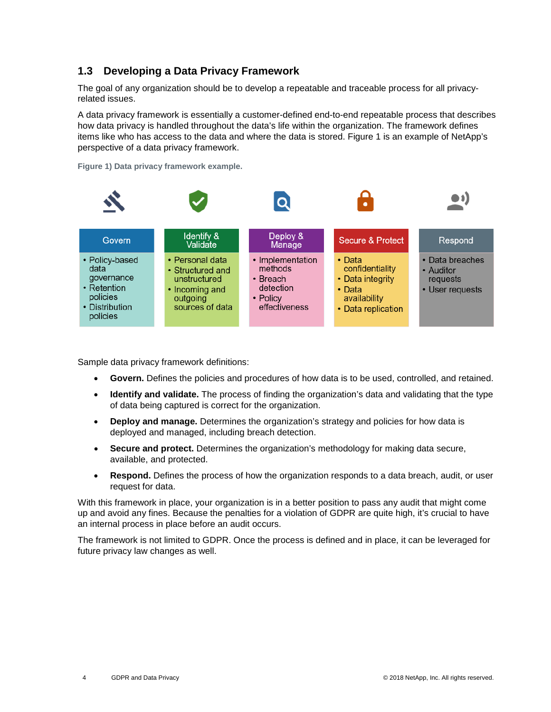### <span id="page-3-0"></span>**1.3 Developing a Data Privacy Framework**

The goal of any organization should be to develop a repeatable and traceable process for all privacyrelated issues.

A data privacy framework is essentially a customer-defined end-to-end repeatable process that describes how data privacy is handled throughout the data's life within the organization. The framework defines items like who has access to the data and where the data is stored. Figure 1 is an example of NetApp's perspective of a data privacy framework.

<span id="page-3-1"></span>**Figure 1) Data privacy framework example.**



Sample data privacy framework definitions:

- **Govern.** Defines the policies and procedures of how data is to be used, controlled, and retained.
- **Identify and validate.** The process of finding the organization's data and validating that the type of data being captured is correct for the organization.
- **Deploy and manage.** Determines the organization's strategy and policies for how data is deployed and managed, including breach detection.
- **Secure and protect.** Determines the organization's methodology for making data secure, available, and protected.
- **Respond.** Defines the process of how the organization responds to a data breach, audit, or user request for data.

With this framework in place, your organization is in a better position to pass any audit that might come up and avoid any fines. Because the penalties for a violation of GDPR are quite high, it's crucial to have an internal process in place before an audit occurs.

The framework is not limited to GDPR. Once the process is defined and in place, it can be leveraged for future privacy law changes as well.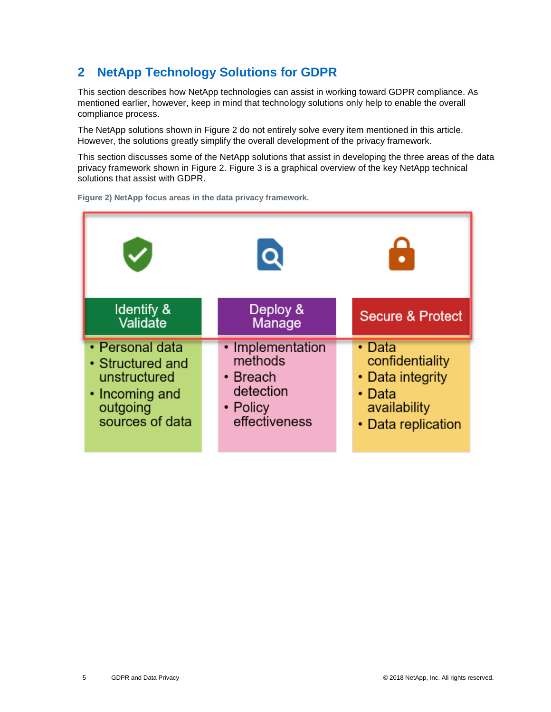# <span id="page-4-0"></span>**2 NetApp Technology Solutions for GDPR**

This section describes how NetApp technologies can assist in working toward GDPR compliance. As mentioned earlier, however, keep in mind that technology solutions only help to enable the overall compliance process.

The NetApp solutions shown in [Figure 2](#page-4-1) do not entirely solve every item mentioned in this article. However, the solutions greatly simplify the overall development of the privacy framework.

This section discusses some of the NetApp solutions that assist in developing the three areas of the data privacy framework shown in Figure 2. Figure 3 is a graphical overview of the key NetApp technical solutions that assist with GDPR.



<span id="page-4-1"></span>**Figure 2) NetApp focus areas in the data privacy framework.**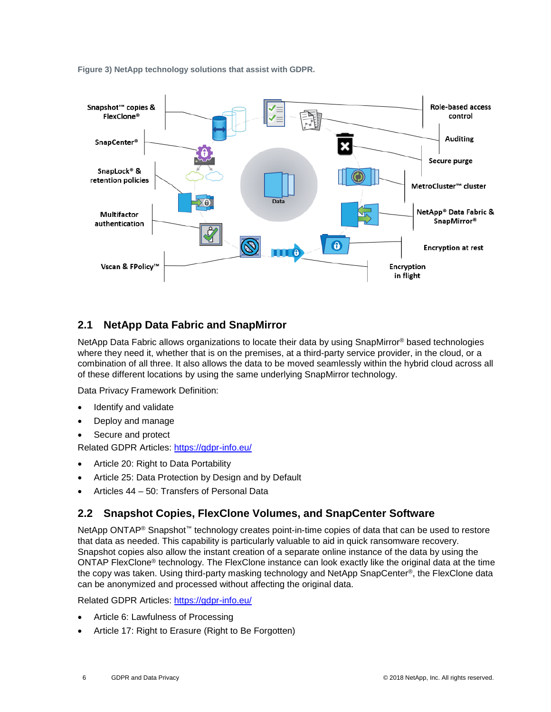<span id="page-5-2"></span>**Figure 3) NetApp technology solutions that assist with GDPR.**



## <span id="page-5-0"></span>**2.1 NetApp Data Fabric and SnapMirror**

NetApp Data Fabric allows organizations to locate their data by using SnapMirror<sup>®</sup> based technologies where they need it, whether that is on the premises, at a third-party service provider, in the cloud, or a combination of all three. It also allows the data to be moved seamlessly within the hybrid cloud across all of these different locations by using the same underlying SnapMirror technology.

Data Privacy Framework Definition:

- Identify and validate
- Deploy and manage
- Secure and protect

Related GDPR Articles:<https://gdpr-info.eu/>

- Article 20: Right to Data Portability
- Article 25: Data Protection by Design and by Default
- Articles 44 50: Transfers of Personal Data

#### <span id="page-5-1"></span>**2.2 Snapshot Copies, FlexClone Volumes, and SnapCenter Software**

NetApp ONTAP<sup>®</sup> Snapshot™ technology creates point-in-time copies of data that can be used to restore that data as needed. This capability is particularly valuable to aid in quick ransomware recovery. Snapshot copies also allow the instant creation of a separate online instance of the data by using the ONTAP FlexClone® technology. The FlexClone instance can look exactly like the original data at the time the copy was taken. Using third-party masking technology and NetApp SnapCenter®, the FlexClone data can be anonymized and processed without affecting the original data.

Related GDPR Articles: <https://gdpr-info.eu/>

- Article 6: Lawfulness of Processing
- Article 17: Right to Erasure (Right to Be Forgotten)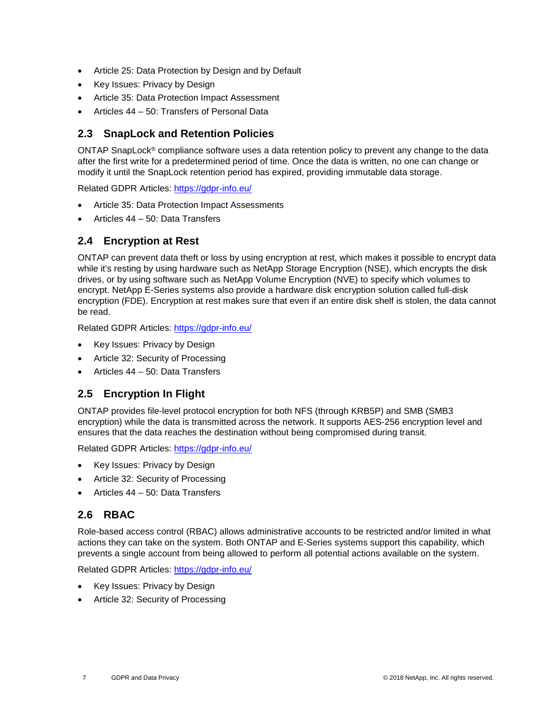- Article 25: Data Protection by Design and by Default
- Key Issues: Privacy by Design
- Article 35: Data Protection Impact Assessment
- Articles 44 50: Transfers of Personal Data

#### <span id="page-6-0"></span>**2.3 SnapLock and Retention Policies**

ONTAP SnapLock® compliance software uses a data retention policy to prevent any change to the data after the first write for a predetermined period of time. Once the data is written, no one can change or modify it until the SnapLock retention period has expired, providing immutable data storage.

Related GDPR Articles: <https://gdpr-info.eu/>

- Article 35: Data Protection Impact Assessments
- Articles 44 50: Data Transfers

#### <span id="page-6-1"></span>**2.4 Encryption at Rest**

ONTAP can prevent data theft or loss by using encryption at rest, which makes it possible to encrypt data while it's resting by using hardware such as NetApp Storage Encryption (NSE), which encrypts the disk drives, or by using software such as NetApp Volume Encryption (NVE) to specify which volumes to encrypt. NetApp E-Series systems also provide a hardware disk encryption solution called full-disk encryption (FDE). Encryption at rest makes sure that even if an entire disk shelf is stolen, the data cannot be read.

Related GDPR Articles: <https://gdpr-info.eu/>

- Key Issues: Privacy by Design
- Article 32: Security of Processing
- Articles 44 50: Data Transfers

#### <span id="page-6-2"></span>**2.5 Encryption In Flight**

ONTAP provides file-level protocol encryption for both NFS (through KRB5P) and SMB (SMB3 encryption) while the data is transmitted across the network. It supports AES-256 encryption level and ensures that the data reaches the destination without being compromised during transit.

Related GDPR Articles: <https://gdpr-info.eu/>

- Key Issues: Privacy by Design
- Article 32: Security of Processing
- Articles 44 50: Data Transfers

#### <span id="page-6-3"></span>**2.6 RBAC**

Role-based access control (RBAC) allows administrative accounts to be restricted and/or limited in what actions they can take on the system. Both ONTAP and E-Series systems support this capability, which prevents a single account from being allowed to perform all potential actions available on the system.

Related GDPR Articles: <https://gdpr-info.eu/>

- Key Issues: Privacy by Design
- Article 32: Security of Processing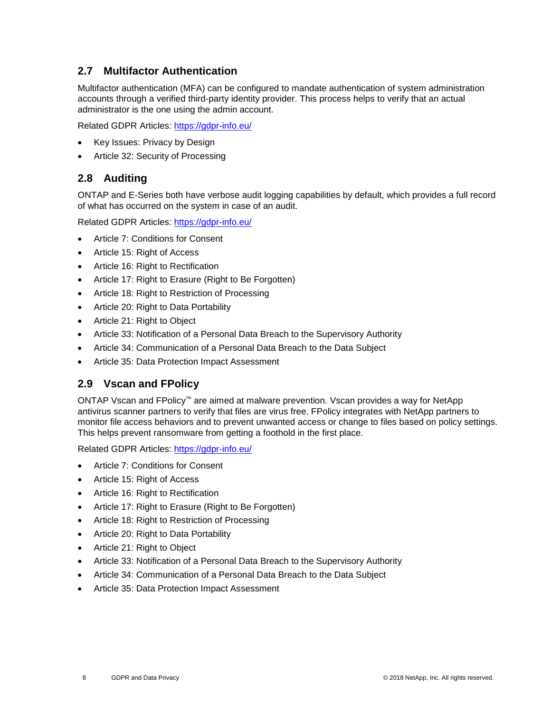### <span id="page-7-0"></span>**2.7 Multifactor Authentication**

Multifactor authentication (MFA) can be configured to mandate authentication of system administration accounts through a verified third-party identity provider. This process helps to verify that an actual administrator is the one using the admin account.

Related GDPR Articles: <https://gdpr-info.eu/>

- Key Issues: Privacy by Design
- Article 32: Security of Processing

#### <span id="page-7-1"></span>**2.8 Auditing**

ONTAP and E-Series both have verbose audit logging capabilities by default, which provides a full record of what has occurred on the system in case of an audit.

Related GDPR Articles: <https://gdpr-info.eu/>

- Article 7: Conditions for Consent
- Article 15: Right of Access
- Article 16: Right to Rectification
- Article 17: Right to Erasure (Right to Be Forgotten)
- Article 18: Right to Restriction of Processing
- Article 20: Right to Data Portability
- Article 21: Right to Object
- Article 33: Notification of a Personal Data Breach to the Supervisory Authority
- Article 34: Communication of a Personal Data Breach to the Data Subject
- Article 35: Data Protection Impact Assessment

#### <span id="page-7-2"></span>**2.9 Vscan and FPolicy**

ONTAP Vscan and FPolicy™ are aimed at malware prevention. Vscan provides a way for NetApp antivirus scanner partners to verify that files are virus free. FPolicy integrates with NetApp partners to monitor file access behaviors and to prevent unwanted access or change to files based on policy settings. This helps prevent ransomware from getting a foothold in the first place.

Related GDPR Articles: <https://gdpr-info.eu/>

- Article 7: Conditions for Consent
- Article 15: Right of Access
- Article 16: Right to Rectification
- Article 17: Right to Erasure (Right to Be Forgotten)
- Article 18: Right to Restriction of Processing
- Article 20: Right to Data Portability
- Article 21: Right to Object
- Article 33: Notification of a Personal Data Breach to the Supervisory Authority
- Article 34: Communication of a Personal Data Breach to the Data Subject
- Article 35: Data Protection Impact Assessment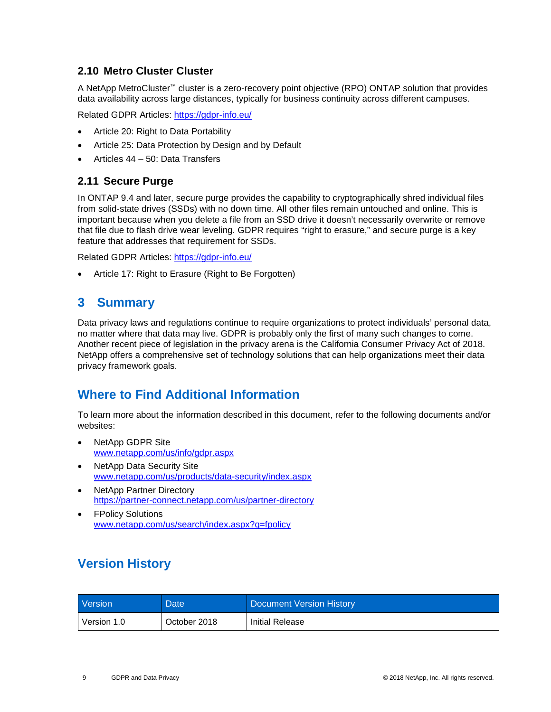#### <span id="page-8-0"></span>**2.10 Metro Cluster Cluster**

A NetApp MetroCluster™ cluster is a zero-recovery point objective (RPO) ONTAP solution that provides data availability across large distances, typically for business continuity across different campuses.

Related GDPR Articles: <https://gdpr-info.eu/>

- Article 20: Right to Data Portability
- Article 25: Data Protection by Design and by Default
- Articles 44 50: Data Transfers

#### <span id="page-8-1"></span>**2.11 Secure Purge**

In ONTAP 9.4 and later, secure purge provides the capability to cryptographically shred individual files from solid-state drives (SSDs) with no down time. All other files remain untouched and online. This is important because when you delete a file from an SSD drive it doesn't necessarily overwrite or remove that file due to flash drive wear leveling. GDPR requires "right to erasure," and secure purge is a key feature that addresses that requirement for SSDs.

Related GDPR Articles: <https://gdpr-info.eu/>

<span id="page-8-2"></span>• Article 17: Right to Erasure (Right to Be Forgotten)

## **3 Summary**

Data privacy laws and regulations continue to require organizations to protect individuals' personal data, no matter where that data may live. GDPR is probably only the first of many such changes to come. Another recent piece of legislation in the privacy arena is the California Consumer Privacy Act of 2018. NetApp offers a comprehensive set of technology solutions that can help organizations meet their data privacy framework goals.

# <span id="page-8-3"></span>**Where to Find Additional Information**

To learn more about the information described in this document, refer to the following documents and/or websites:

- NetApp GDPR Site www.netapp.com/us/info/gdpr.aspx
- NetApp Data Security Site www.netapp.com/us/products/data-security/index.aspx
- NetApp Partner Directory <https://partner-connect.netapp.com/us/partner-directory>
- **FPolicy Solutions** www.netapp.com/us/search/index.aspx?q=fpolicy

# <span id="page-8-4"></span>**Version History**

| <b>Version</b> | <b>Date</b>  | Document Version History |
|----------------|--------------|--------------------------|
| Version 1.0    | October 2018 | Initial Release          |